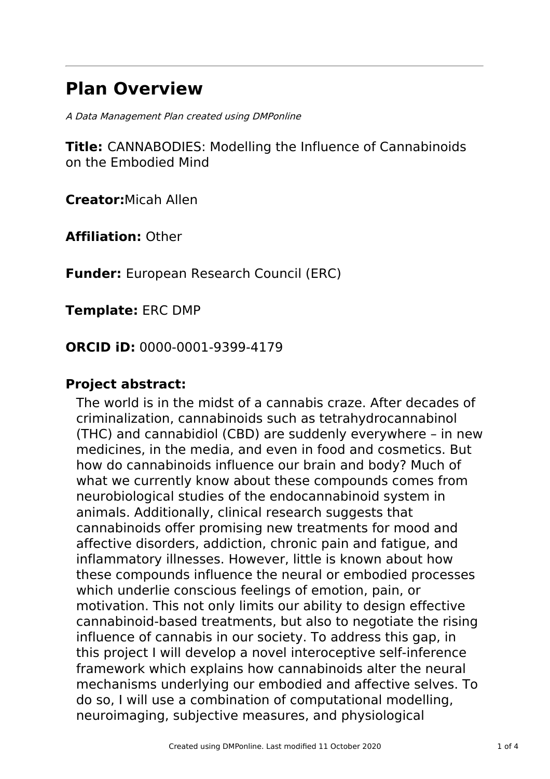## **Plan Overview**

A Data Management Plan created using DMPonline

**Title:** CANNABODIES: Modelling the Influence of Cannabinoids on the Embodied Mind

**Creator:**Micah Allen

**Affiliation:** Other

**Funder:** European Research Council (ERC)

**Template:** ERC DMP

**ORCID iD:** 0000-0001-9399-4179

### **Project abstract:**

The world is in the midst of a cannabis craze. After decades of criminalization, cannabinoids such as tetrahydrocannabinol (THC) and cannabidiol (CBD) are suddenly everywhere – in new medicines, in the media, and even in food and cosmetics. But how do cannabinoids influence our brain and body? Much of what we currently know about these compounds comes from neurobiological studies of the endocannabinoid system in animals. Additionally, clinical research suggests that cannabinoids offer promising new treatments for mood and affective disorders, addiction, chronic pain and fatigue, and inflammatory illnesses. However, little is known about how these compounds influence the neural or embodied processes which underlie conscious feelings of emotion, pain, or motivation. This not only limits our ability to design effective cannabinoid-based treatments, but also to negotiate the rising influence of cannabis in our society. To address this gap, in this project I will develop a novel interoceptive self-inference framework which explains how cannabinoids alter the neural mechanisms underlying our embodied and affective selves. To do so, I will use a combination of computational modelling, neuroimaging, subjective measures, and physiological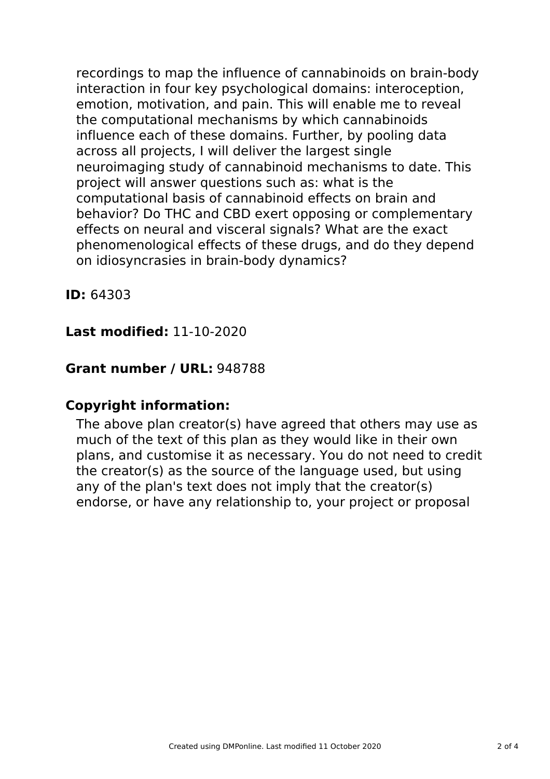recordings to map the influence of cannabinoids on brain-body interaction in four key psychological domains: interoception, emotion, motivation, and pain. This will enable me to reveal the computational mechanisms by which cannabinoids influence each of these domains. Further, by pooling data across all projects, I will deliver the largest single neuroimaging study of cannabinoid mechanisms to date. This project will answer questions such as: what is the computational basis of cannabinoid effects on brain and behavior? Do THC and CBD exert opposing or complementary effects on neural and visceral signals? What are the exact phenomenological effects of these drugs, and do they depend on idiosyncrasies in brain-body dynamics?

**ID:** 64303

### **Last modified:** 11-10-2020

### **Grant number / URL:** 948788

### **Copyright information:**

The above plan creator(s) have agreed that others may use as much of the text of this plan as they would like in their own plans, and customise it as necessary. You do not need to credit the creator(s) as the source of the language used, but using any of the plan's text does not imply that the creator(s) endorse, or have any relationship to, your project or proposal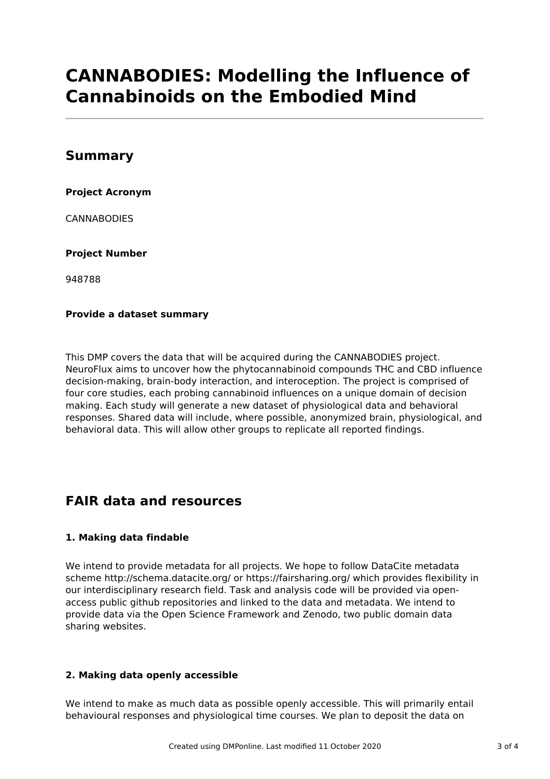# **CANNABODIES: Modelling the Influence of Cannabinoids on the Embodied Mind**

### **Summary**

#### **Project Acronym**

CANNABODIES

#### **Project Number**

948788

#### **Provide a dataset summary**

This DMP covers the data that will be acquired during the CANNABODIES project. NeuroFlux aims to uncover how the phytocannabinoid compounds THC and CBD influence decision-making, brain-body interaction, and interoception. The project is comprised of four core studies, each probing cannabinoid influences on a unique domain of decision making. Each study will generate a new dataset of physiological data and behavioral responses. Shared data will include, where possible, anonymized brain, physiological, and behavioral data. This will allow other groups to replicate all reported findings.

## **FAIR data and resources**

#### **1. Making data findable**

We intend to provide metadata for all projects. We hope to follow DataCite metadata scheme http://schema.datacite.org/ or https://fairsharing.org/ which provides flexibility in our interdisciplinary research field. Task and analysis code will be provided via openaccess public github repositories and linked to the data and metadata. We intend to provide data via the Open Science Framework and Zenodo, two public domain data sharing websites.

#### **2. Making data openly accessible**

We intend to make as much data as possible openly accessible. This will primarily entail behavioural responses and physiological time courses. We plan to deposit the data on